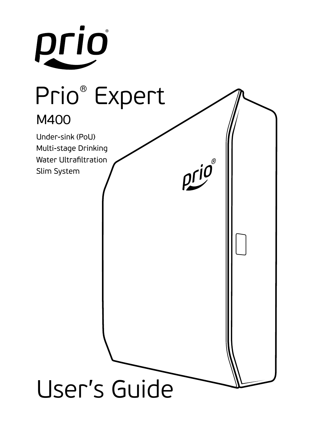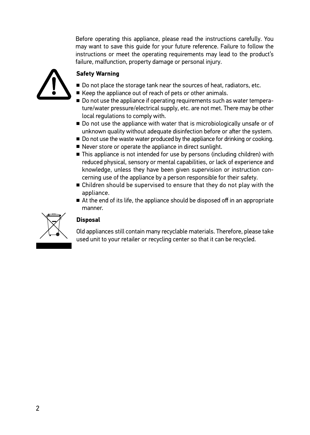Before operating this appliance, please read the instructions carefully. You may want to save this guide for your future reference. Failure to follow the instructions or meet the operating requirements may lead to the product's failure, malfunction, property damage or personal injury.



## **Safety Warning**

- Do not place the storage tank near the sources of heat, radiators, etc.
- Keep the appliance out of reach of pets or other animals.
- Do not use the appliance if operating requirements such as water temperature/water pressure/electrical supply, etc. are not met. There may be other local regulations to comply with.
- Do not use the appliance with water that is microbiologically unsafe or of unknown quality without adequate disinfection before or after the system.
- Do not use the waste water produced by the appliance for drinking or cooking.
- Never store or operate the appliance in direct sunlight.
- This appliance is not intended for use by persons (including children) with reduced physical, sensory or mental capabilities, or lack of experience and knowledge, unless they have been given supervision or instruction concerning use of the appliance by a person responsible for their safety.
- Children should be supervised to ensure that they do not play with the appliance.
- At the end of its life, the appliance should be disposed off in an appropriate manner.



# **Disposal**

Old appliances still contain many recyclable materials. Therefore, please take used unit to your retailer or recycling center so that it can be recycled.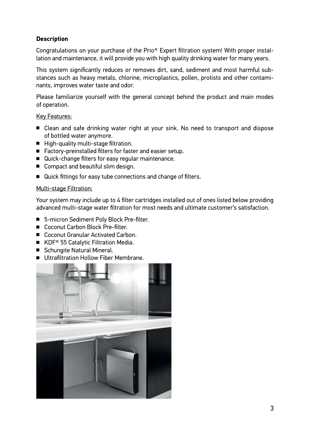## **Description**

Congratulations on your purchase of the Prio® Expert filtration system! With proper installation and maintenance, it will provide you with high quality drinking water for many years.

This system significantly reduces or removes dirt, sand, sediment and most harmful substances such as heavy metals, chlorine, microplastics, pollen, protists and other contaminants, improves water taste and odor.

Please familiarize yourself with the general concept behind the product and main modes of operation.

#### **Key Features:**

- Clean and safe drinking water right at your sink. No need to transport and dispose of bottled water anymore.
- High-quality multi-stage filtration.
- Factory-preinstalled filters for faster and easier setup.
- Quick-change filters for easy regular maintenance.
- Compact and beautiful slim design.
- Quick fittings for easy tube connections and change of filters.

#### Multi-stage Filtration:

Your system may include up to 4 filter cartridges installed out of ones listed below providing advanced multi-stage water filtration for most needs and ultimate customer's satisfaction.

- 5-micron Sediment Poly Block Pre-filter.
- Coconut Carbon Block Pre-filter.
- Coconut Granular Activated Carbon.
- KDF<sup>®</sup> 55 Catalytic Filtration Media.
- Schungite Natural Mineral.
- Ultrafiltration Hollow Fiber Membrane

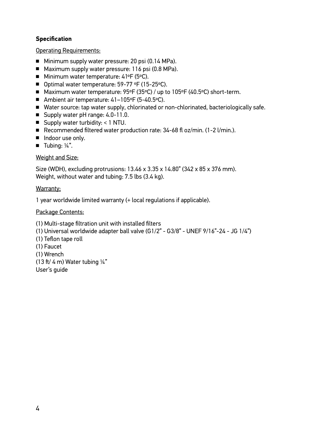## **Specification**

#### Operating Requirements:

- Minimum supply water pressure: 20 psi (0.14 MPa).
- Maximum supply water pressure: 116 psi (0.8 MPa).
- Minimum water temperature: 41°F (5°C).
- Optimal water temperature: 59-77 °F (15-25°C).
- Maximum water temperature: 95°F (35°C) / up to 105°F (40.5°C) short-term.
- Ambient air temperature: 41-105°F (5-40.5°C).
- Water source: tap water supply, chlorinated or non-chlorinated, bacteriologically safe.
- Supply water pH range: 4.0-11.0.
- Supply water turbidity: < 1 NTU.
- Recommended filtered water production rate: 34-68 fl oz/min. (1-2 l/min.).
- Indoor use only.
- Tubing: ¼".

## Weight and Size:

Size (WDH), excluding protrusions: 13.46 x 3.35 x 14.80" (342 x 85 x 376 mm). Weight, without water and tubing: 7.5 lbs (3.4 kg).

#### Warranty:

1 year worldwide limited warranty (+ local regulations if applicable).

#### Package Contents:

(1) Multi-stage filtration unit with installed filters (1) Universal worldwide adapter ball valve (G1/2" - G3/8" - UNEF 9/16"-24 - JG 1/4") (1) Teflon tape roll (1) Faucet (1) Wrench (13 ft/ 4 m) Water tubing  $\frac{1}{4}$ " User's guide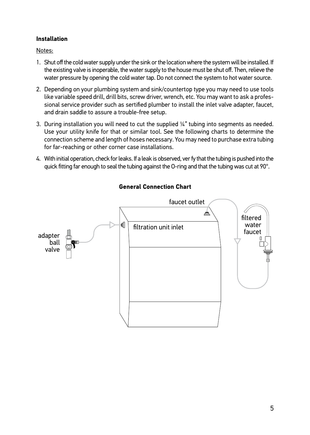## **Installation**

Notes:

- 1. Shut off the cold water supply under the sink or the location where the system will be installed. If the existing valve is inoperable, the water supply to the house must be shut off. Then, relieve the water pressure by opening the cold water tap. Do not connect the system to hot water source.
- 2. Depending on your plumbing system and sink/countertop type you may need to use tools like variable speed drill, drill bits, screw driver, wrench, etc. You may want to ask a professional service provider such as sertified plumber to install the inlet valve adapter, faucet, and drain saddle to assure a trouble-free setup.
- 3. During installation you will need to cut the supplied ¼" tubing into segments as needed. Use your utility knife for that or similar tool. See the following charts to determine the connection scheme and length of hoses necessary. You may need to purchase extra tubing for far-reaching or other corner case installations.
- 4. With initial operation, check for leaks. If a leak is observed, ver fy that the tubing is pushed into the quick fitting far enough to seal the tubing against the O-ring and that the tubing was cut at 90°.



## **General Connection Chart**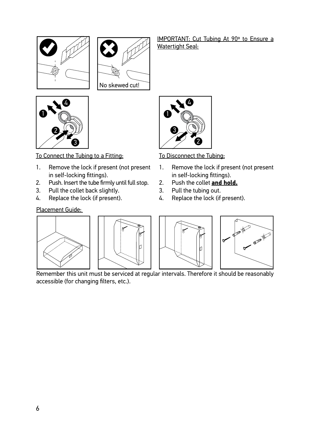



To Connect the Tubing to a Fitting:

- 1. Remove the lock if present (not present in self-locking fittings).
- 2. Push. Insert the tube firmly until full stop.
- 3. Pull the collet back slightly.
- 4. Replace the lock (if present).

## Placement Guide:

IMPORTANT: Cut Tubing At 90º to Ensure a Watertight Seal:



To Disconnect the Tubing:

- 1. Remove the lock if present (not present in self-locking fittings).
- 2. Push the collet **and hold.**
- 3. Pull the tubing out.
- 4. Replace the lock (if present).



Remember this unit must be serviced at regular intervals. Therefore it should be reasonably accessible (for changing filters, etc.).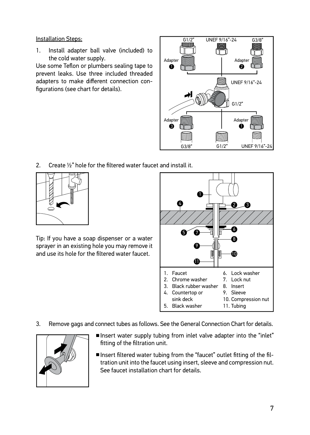#### Installation Steps:

1. Install adapter ball valve (included) to the cold water supply.

Use some Teflon or plumbers sealing tape to prevent leaks. Use three included threaded adapters to make different connection configurations (see chart for details).



2. Create ½" hole for the filtered water faucet and install it.



Tip: If you have a soap dispenser or a water sprayer in an existing hole you may remove it and use its hole for the filtered water faucet.



3. Remove gags and connect tubes as follows. See the General Connection Chart for details.



- Insert water supply tubing from inlet valve adapter into the "inlet" fitting of the filtration unit.
- Insert filtered water tubing from the "faucet" outlet fitting of the filtration unit into the faucet using insert, sleeve and compression nut. See faucet installation chart for details.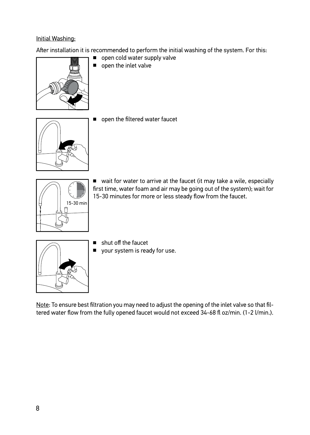## Initial Washing:

After installation it is recommended to perform the initial washing of the system. For this:



open the inlet valve



■ open the filtered water faucet



■ wait for water to arrive at the faucet (it may take a wile, especially first time, water foam and air may be going out of the system); wait for 15-30 minutes for more or less steady flow from the faucet.



- shut off the faucet
- your system is ready for use.

Note: To ensure best filtration you may need to adjust the opening of the inlet valve so that filtered water flow from the fully opened faucet would not exceed 34-68 fl oz/min. (1-2 l/min.).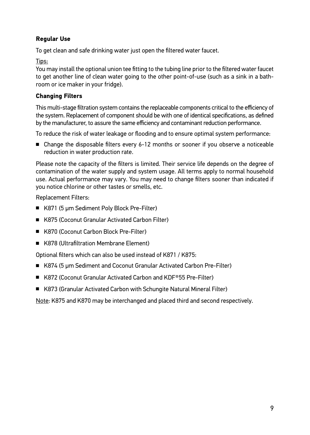## **Regular Use**

To get clean and safe drinking water just open the filtered water faucet.

Tips:

You may install the optional union tee fitting to the tubing line prior to the filtered water faucet to get another line of clean water going to the other point-of-use (such as a sink in a bathroom or ice maker in your fridge).

## **Changing Filters**

This multi-stage filtration system contains the replaceable components critical to the efficiency of the system. Replacement of component should be with one of identical specifications, as defined by the manufacturer, to assure the same efficiency and contaminant reduction performance.

To reduce the risk of water leakage or flooding and to ensure optimal system performance:

■ Change the disposable filters every 6-12 months or sooner if you observe a noticeable reduction in water production rate.

Please note the capacity of the filters is limited. Their service life depends on the degree of contamination of the water supply and system usage. All terms apply to normal household use. Actual performance may vary. You may need to change filters sooner than indicated if you notice chlorine or other tastes or smells, etc.

Replacement Filters:

- K871 (5 µm Sediment Poly Block Pre-Filter)
- K875 (Coconut Granular Activated Carbon Filter)
- K870 (Coconut Carbon Block Pre-Filter)
- K878 (Ultrafiltration Membrane Element)

Optional filters which can also be used instead of K871 / K875:

- K874 (5 µm Sediment and Coconut Granular Activated Carbon Pre-Filter)
- K872 (Coconut Granular Activated Carbon and KDF®55 Pre-Filter)
- K873 (Granular Activated Carbon with Schungite Natural Mineral Filter)

Note: K875 and K870 may be interchanged and placed third and second respectively.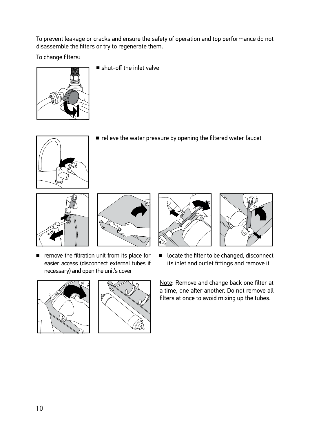To prevent leakage or cracks and ensure the safety of operation and top performance do not disassemble the filters or try to regenerate them.

To change filters:



■ shut-off the inlet valve



■ relieve the water pressure by opening the filtered water faucet





■ remove the filtration unit from its place for easier access (disconnect external tubes if necessary) and open the unit's cover





■ locate the filter to be changed, disconnect its inlet and outlet fittings and remove it



Note: Remove and change back one filter at a time, one after another. Do not remove all filters at once to avoid mixing up the tubes.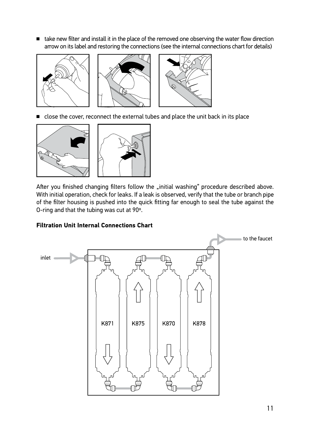■ take new filter and install it in the place of the removed one observing the water flow direction arrow on its label and restoring the connections (see the internal connections chart for details)



■ close the cover, reconnect the external tubes and place the unit back in its place



After you finished changing filters follow the "initial washing" procedure described above. With initial operation, check for leaks. If a leak is observed, verify that the tube or branch pipe of the filter housing is pushed into the quick fitting far enough to seal the tube against the O-ring and that the tubing was cut at 90º.

## **Filtration Unit Internal Connections Chart**